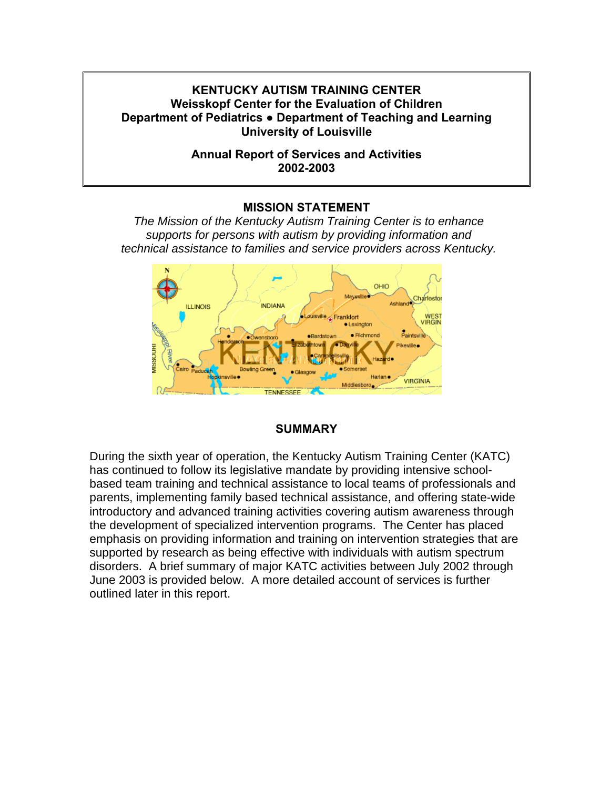## **KENTUCKY AUTISM TRAINING CENTER Weisskopf Center for the Evaluation of Children Department of Pediatrics ● Department of Teaching and Learning University of Louisville**

## **Annual Report of Services and Activities 2002-2003**

## **MISSION STATEMENT**

*The Mission of the Kentucky Autism Training Center is to enhance supports for persons with autism by providing information and technical assistance to families and service providers across Kentucky.* 



## **SUMMARY**

During the sixth year of operation, the Kentucky Autism Training Center (KATC) has continued to follow its legislative mandate by providing intensive schoolbased team training and technical assistance to local teams of professionals and parents, implementing family based technical assistance, and offering state-wide introductory and advanced training activities covering autism awareness through the development of specialized intervention programs. The Center has placed emphasis on providing information and training on intervention strategies that are supported by research as being effective with individuals with autism spectrum disorders. A brief summary of major KATC activities between July 2002 through June 2003 is provided below. A more detailed account of services is further outlined later in this report.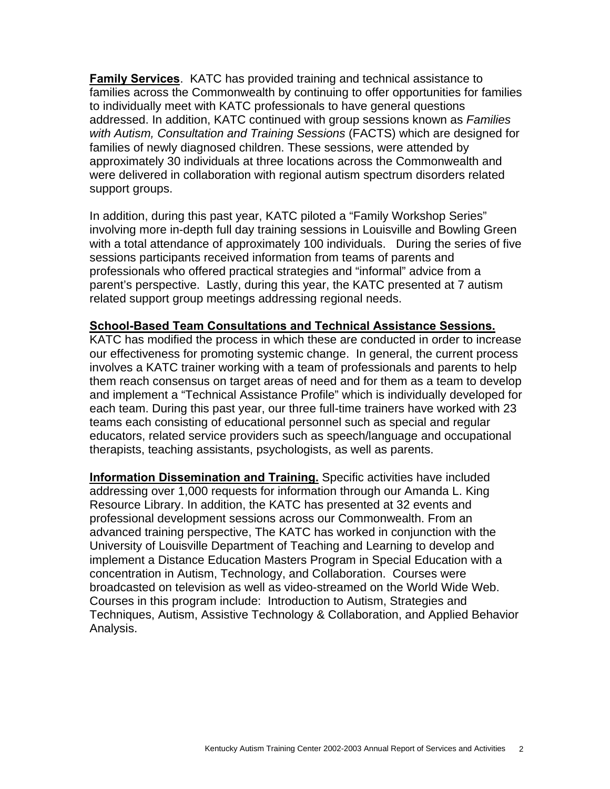**Family Services**. KATC has provided training and technical assistance to families across the Commonwealth by continuing to offer opportunities for families to individually meet with KATC professionals to have general questions addressed. In addition, KATC continued with group sessions known as *Families with Autism, Consultation and Training Sessions* (FACTS) which are designed for families of newly diagnosed children. These sessions, were attended by approximately 30 individuals at three locations across the Commonwealth and were delivered in collaboration with regional autism spectrum disorders related support groups.

In addition, during this past year, KATC piloted a "Family Workshop Series" involving more in-depth full day training sessions in Louisville and Bowling Green with a total attendance of approximately 100 individuals. During the series of five sessions participants received information from teams of parents and professionals who offered practical strategies and "informal" advice from a parent's perspective. Lastly, during this year, the KATC presented at 7 autism related support group meetings addressing regional needs.

### **School-Based Team Consultations and Technical Assistance Sessions.**

KATC has modified the process in which these are conducted in order to increase our effectiveness for promoting systemic change.In general, the current process involves a KATC trainer working with a team of professionals and parents to help them reach consensus on target areas of need and for them as a team to develop and implement a "Technical Assistance Profile" which is individually developed for each team. During this past year, our three full-time trainers have worked with 23 teams each consisting of educational personnel such as special and regular educators, related service providers such as speech/language and occupational therapists, teaching assistants, psychologists, as well as parents.

**Information Dissemination and Training.** Specific activities have included addressing over 1,000 requests for information through our Amanda L. King Resource Library. In addition, the KATC has presented at 32 events and professional development sessions across our Commonwealth. From an advanced training perspective, The KATC has worked in conjunction with the University of Louisville Department of Teaching and Learning to develop and implement a Distance Education Masters Program in Special Education with a concentration in Autism, Technology, and Collaboration. Courses were broadcasted on television as well as video-streamed on the World Wide Web. Courses in this program include: Introduction to Autism, Strategies and Techniques, Autism, Assistive Technology & Collaboration, and Applied Behavior Analysis.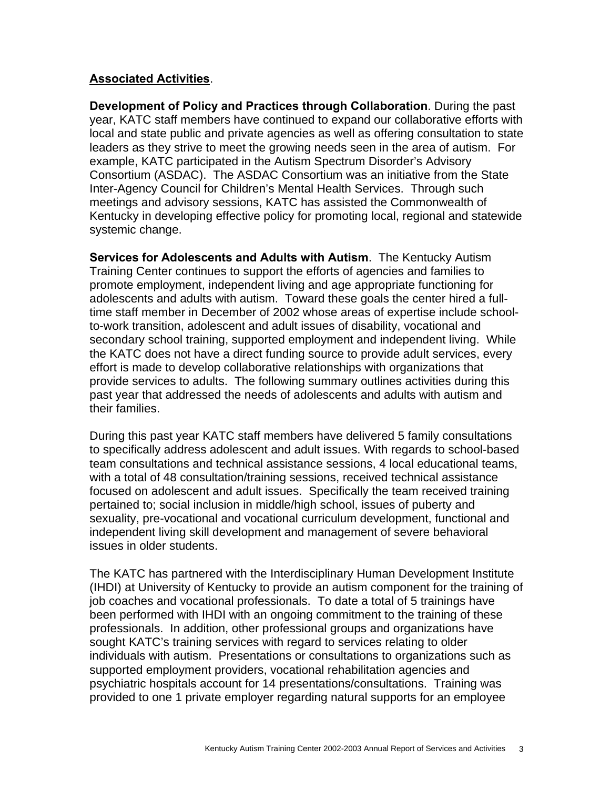## **Associated Activities**.

**Development of Policy and Practices through Collaboration**. During the past year, KATC staff members have continued to expand our collaborative efforts with local and state public and private agencies as well as offering consultation to state leaders as they strive to meet the growing needs seen in the area of autism. For example, KATC participated in the Autism Spectrum Disorder's Advisory Consortium (ASDAC). The ASDAC Consortium was an initiative from the State Inter-Agency Council for Children's Mental Health Services. Through such meetings and advisory sessions, KATC has assisted the Commonwealth of Kentucky in developing effective policy for promoting local, regional and statewide systemic change.

**Services for Adolescents and Adults with Autism**. The Kentucky Autism Training Center continues to support the efforts of agencies and families to promote employment, independent living and age appropriate functioning for adolescents and adults with autism. Toward these goals the center hired a fulltime staff member in December of 2002 whose areas of expertise include schoolto-work transition, adolescent and adult issues of disability, vocational and secondary school training, supported employment and independent living. While the KATC does not have a direct funding source to provide adult services, every effort is made to develop collaborative relationships with organizations that provide services to adults. The following summary outlines activities during this past year that addressed the needs of adolescents and adults with autism and their families.

During this past year KATC staff members have delivered 5 family consultations to specifically address adolescent and adult issues. With regards to school-based team consultations and technical assistance sessions, 4 local educational teams, with a total of 48 consultation/training sessions, received technical assistance focused on adolescent and adult issues. Specifically the team received training pertained to; social inclusion in middle/high school, issues of puberty and sexuality, pre-vocational and vocational curriculum development, functional and independent living skill development and management of severe behavioral issues in older students.

The KATC has partnered with the Interdisciplinary Human Development Institute (IHDI) at University of Kentucky to provide an autism component for the training of job coaches and vocational professionals. To date a total of 5 trainings have been performed with IHDI with an ongoing commitment to the training of these professionals. In addition, other professional groups and organizations have sought KATC's training services with regard to services relating to older individuals with autism. Presentations or consultations to organizations such as supported employment providers, vocational rehabilitation agencies and psychiatric hospitals account for 14 presentations/consultations. Training was provided to one 1 private employer regarding natural supports for an employee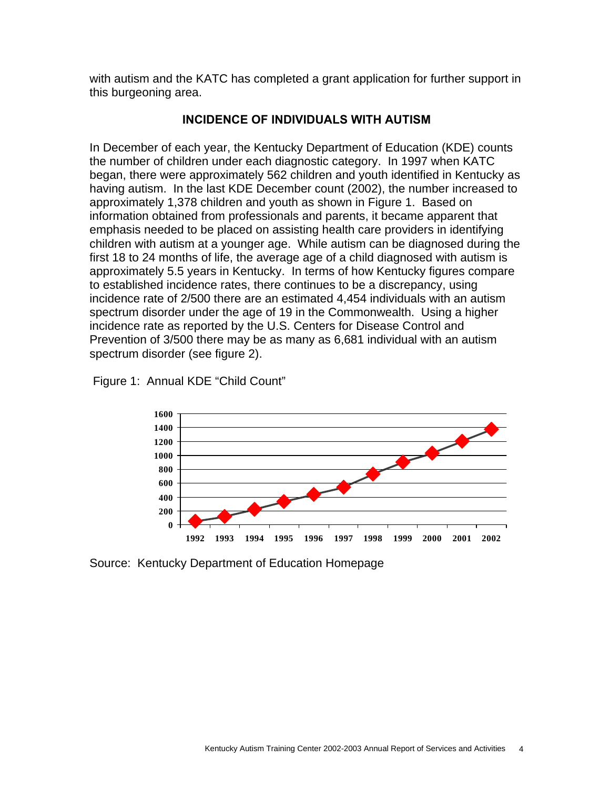with autism and the KATC has completed a grant application for further support in this burgeoning area.

## **INCIDENCE OF INDIVIDUALS WITH AUTISM**

In December of each year, the Kentucky Department of Education (KDE) counts the number of children under each diagnostic category. In 1997 when KATC began, there were approximately 562 children and youth identified in Kentucky as having autism. In the last KDE December count (2002), the number increased to approximately 1,378 children and youth as shown in Figure 1. Based on information obtained from professionals and parents, it became apparent that emphasis needed to be placed on assisting health care providers in identifying children with autism at a younger age. While autism can be diagnosed during the first 18 to 24 months of life, the average age of a child diagnosed with autism is approximately 5.5 years in Kentucky. In terms of how Kentucky figures compare to established incidence rates, there continues to be a discrepancy, using incidence rate of 2/500 there are an estimated 4,454 individuals with an autism spectrum disorder under the age of 19 in the Commonwealth. Using a higher incidence rate as reported by the U.S. Centers for Disease Control and Prevention of 3/500 there may be as many as 6,681 individual with an autism spectrum disorder (see figure 2).





Source: Kentucky Department of Education Homepage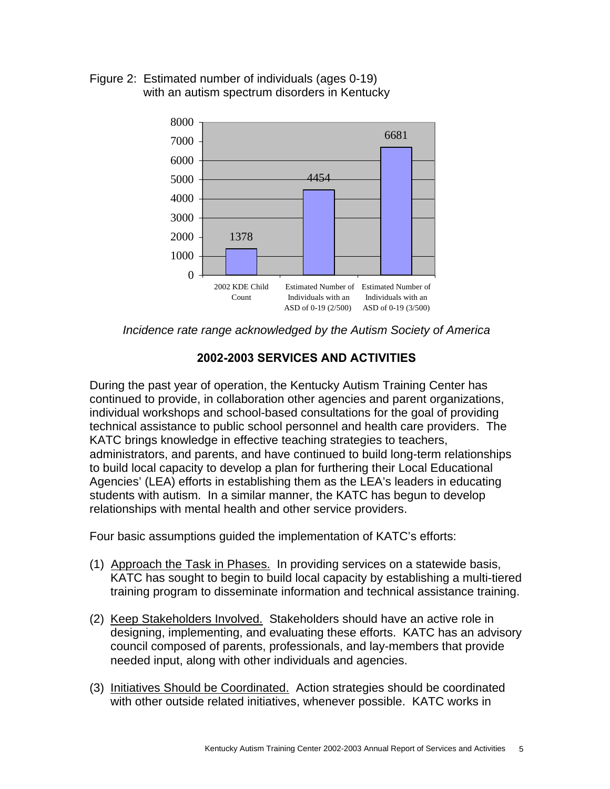Figure 2: Estimated number of individuals (ages 0-19) with an autism spectrum disorders in Kentucky



*Incidence rate range acknowledged by the Autism Society of America* 

## **2002-2003 SERVICES AND ACTIVITIES**

During the past year of operation, the Kentucky Autism Training Center has continued to provide, in collaboration other agencies and parent organizations, individual workshops and school-based consultations for the goal of providing technical assistance to public school personnel and health care providers. The KATC brings knowledge in effective teaching strategies to teachers, administrators, and parents, and have continued to build long-term relationships to build local capacity to develop a plan for furthering their Local Educational Agencies' (LEA) efforts in establishing them as the LEA's leaders in educating students with autism. In a similar manner, the KATC has begun to develop relationships with mental health and other service providers.

Four basic assumptions guided the implementation of KATC's efforts:

- (1) Approach the Task in Phases. In providing services on a statewide basis, KATC has sought to begin to build local capacity by establishing a multi-tiered training program to disseminate information and technical assistance training.
- (2) Keep Stakeholders Involved. Stakeholders should have an active role in designing, implementing, and evaluating these efforts. KATC has an advisory council composed of parents, professionals, and lay-members that provide needed input, along with other individuals and agencies.
- (3) Initiatives Should be Coordinated. Action strategies should be coordinated with other outside related initiatives, whenever possible. KATC works in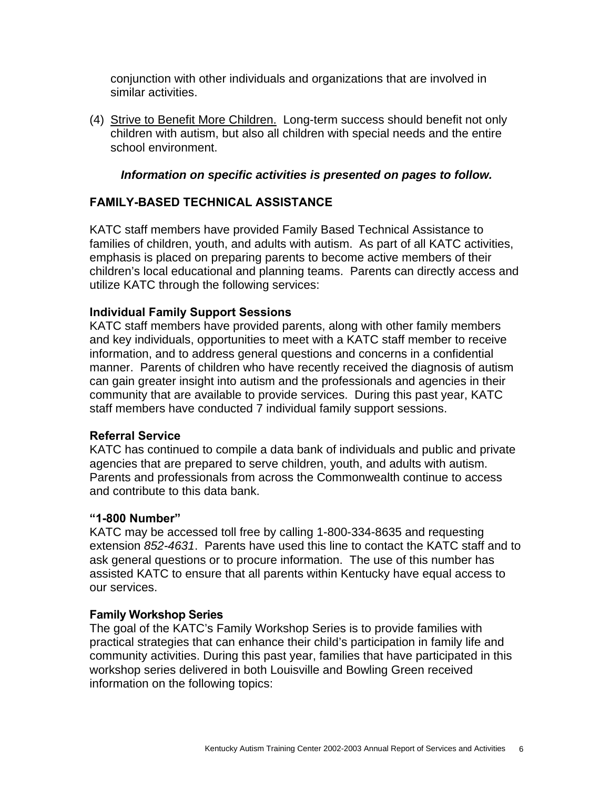conjunction with other individuals and organizations that are involved in similar activities.

(4) Strive to Benefit More Children. Long-term success should benefit not only children with autism, but also all children with special needs and the entire school environment.

## *Information on specific activities is presented on pages to follow.*

## **FAMILY-BASED TECHNICAL ASSISTANCE**

KATC staff members have provided Family Based Technical Assistance to families of children, youth, and adults with autism. As part of all KATC activities, emphasis is placed on preparing parents to become active members of their children's local educational and planning teams. Parents can directly access and utilize KATC through the following services:

## **Individual Family Support Sessions**

KATC staff members have provided parents, along with other family members and key individuals, opportunities to meet with a KATC staff member to receive information, and to address general questions and concerns in a confidential manner. Parents of children who have recently received the diagnosis of autism can gain greater insight into autism and the professionals and agencies in their community that are available to provide services. During this past year, KATC staff members have conducted 7 individual family support sessions.

## **Referral Service**

KATC has continued to compile a data bank of individuals and public and private agencies that are prepared to serve children, youth, and adults with autism. Parents and professionals from across the Commonwealth continue to access and contribute to this data bank.

#### **"1-800 Number"**

KATC may be accessed toll free by calling 1-800-334-8635 and requesting extension *852-4631*. Parents have used this line to contact the KATC staff and to ask general questions or to procure information. The use of this number has assisted KATC to ensure that all parents within Kentucky have equal access to our services.

## **Family Workshop Series**

The goal of the KATC's Family Workshop Series is to provide families with practical strategies that can enhance their child's participation in family life and community activities. During this past year, families that have participated in this workshop series delivered in both Louisville and Bowling Green received information on the following topics: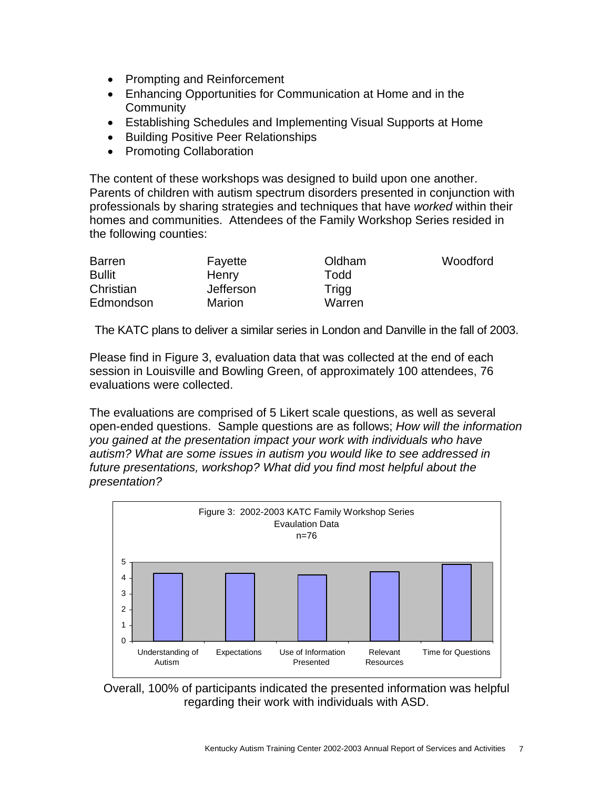- Prompting and Reinforcement
- Enhancing Opportunities for Communication at Home and in the **Community**
- Establishing Schedules and Implementing Visual Supports at Home
- Building Positive Peer Relationships
- Promoting Collaboration

The content of these workshops was designed to build upon one another. Parents of children with autism spectrum disorders presented in conjunction with professionals by sharing strategies and techniques that have *worked* within their homes and communities. Attendees of the Family Workshop Series resided in the following counties:

| <b>Barren</b> | Fayette   | Oldham | Woodford |
|---------------|-----------|--------|----------|
| <b>Bullit</b> | Henry     | Todd   |          |
| Christian     | Jefferson | Trigg  |          |
| Edmondson     | Marion    | Warren |          |

The KATC plans to deliver a similar series in London and Danville in the fall of 2003.

Please find in Figure 3, evaluation data that was collected at the end of each session in Louisville and Bowling Green, of approximately 100 attendees, 76 evaluations were collected.

The evaluations are comprised of 5 Likert scale questions, as well as several open-ended questions. Sample questions are as follows; *How will the information you gained at the presentation impact your work with individuals who have autism? What are some issues in autism you would like to see addressed in future presentations, workshop? What did you find most helpful about the presentation?*



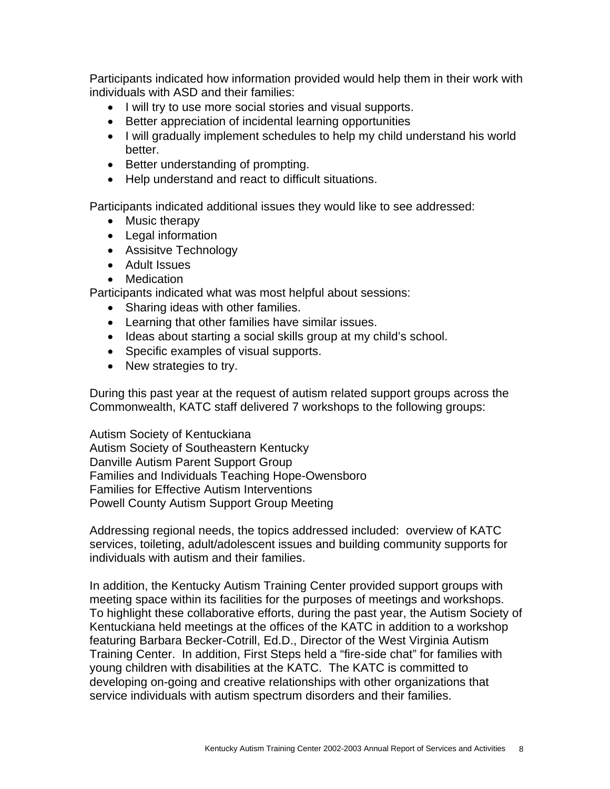Participants indicated how information provided would help them in their work with individuals with ASD and their families:

- I will try to use more social stories and visual supports.
- Better appreciation of incidental learning opportunities
- I will gradually implement schedules to help my child understand his world better.
- Better understanding of prompting.
- Help understand and react to difficult situations.

Participants indicated additional issues they would like to see addressed:

- Music therapy
- Legal information
- Assisitve Technology
- Adult Issues
- Medication

Participants indicated what was most helpful about sessions:

- Sharing ideas with other families.
- Learning that other families have similar issues.
- Ideas about starting a social skills group at my child's school.
- Specific examples of visual supports.
- New strategies to try.

During this past year at the request of autism related support groups across the Commonwealth, KATC staff delivered 7 workshops to the following groups:

Autism Society of Kentuckiana Autism Society of Southeastern Kentucky Danville Autism Parent Support Group Families and Individuals Teaching Hope-Owensboro Families for Effective Autism Interventions Powell County Autism Support Group Meeting

Addressing regional needs, the topics addressed included: overview of KATC services, toileting, adult/adolescent issues and building community supports for individuals with autism and their families.

In addition, the Kentucky Autism Training Center provided support groups with meeting space within its facilities for the purposes of meetings and workshops. To highlight these collaborative efforts, during the past year, the Autism Society of Kentuckiana held meetings at the offices of the KATC in addition to a workshop featuring Barbara Becker-Cotrill, Ed.D., Director of the West Virginia Autism Training Center. In addition, First Steps held a "fire-side chat" for families with young children with disabilities at the KATC. The KATC is committed to developing on-going and creative relationships with other organizations that service individuals with autism spectrum disorders and their families.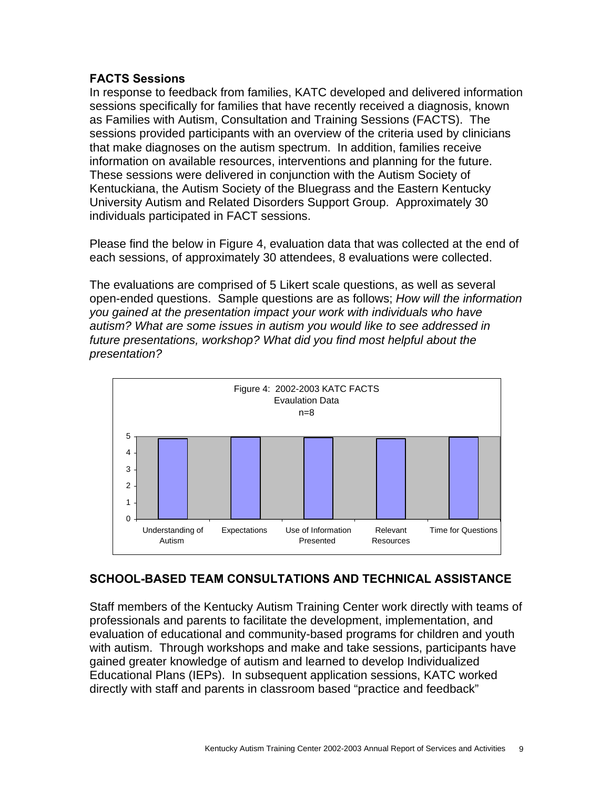## **FACTS Sessions**

In response to feedback from families, KATC developed and delivered information sessions specifically for families that have recently received a diagnosis, known as Families with Autism, Consultation and Training Sessions (FACTS). The sessions provided participants with an overview of the criteria used by clinicians that make diagnoses on the autism spectrum. In addition, families receive information on available resources, interventions and planning for the future. These sessions were delivered in conjunction with the Autism Society of Kentuckiana, the Autism Society of the Bluegrass and the Eastern Kentucky University Autism and Related Disorders Support Group. Approximately 30 individuals participated in FACT sessions.

Please find the below in Figure 4, evaluation data that was collected at the end of each sessions, of approximately 30 attendees, 8 evaluations were collected.

The evaluations are comprised of 5 Likert scale questions, as well as several open-ended questions. Sample questions are as follows; *How will the information you gained at the presentation impact your work with individuals who have autism? What are some issues in autism you would like to see addressed in future presentations, workshop? What did you find most helpful about the presentation?*



## **SCHOOL-BASED TEAM CONSULTATIONS AND TECHNICAL ASSISTANCE**

Staff members of the Kentucky Autism Training Center work directly with teams of professionals and parents to facilitate the development, implementation, and evaluation of educational and community-based programs for children and youth with autism. Through workshops and make and take sessions, participants have gained greater knowledge of autism and learned to develop Individualized Educational Plans (IEPs). In subsequent application sessions, KATC worked directly with staff and parents in classroom based "practice and feedback"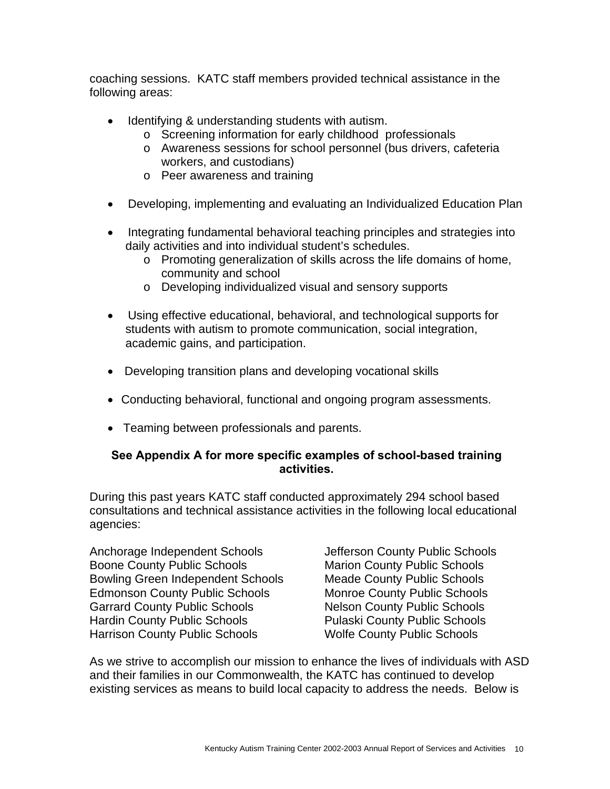coaching sessions. KATC staff members provided technical assistance in the following areas:

- Identifying & understanding students with autism.
	- o Screening information for early childhood professionals
	- o Awareness sessions for school personnel (bus drivers, cafeteria workers, and custodians)
	- o Peer awareness and training
- Developing, implementing and evaluating an Individualized Education Plan
- Integrating fundamental behavioral teaching principles and strategies into daily activities and into individual student's schedules.
	- o Promoting generalization of skills across the life domains of home, community and school
	- o Developing individualized visual and sensory supports
- Using effective educational, behavioral, and technological supports for students with autism to promote communication, social integration, academic gains, and participation.
- Developing transition plans and developing vocational skills
- Conducting behavioral, functional and ongoing program assessments.
- Teaming between professionals and parents.

## **See Appendix A for more specific examples of school-based training activities.**

During this past years KATC staff conducted approximately 294 school based consultations and technical assistance activities in the following local educational agencies:

Anchorage Independent Schools Boone County Public Schools Bowling Green Independent Schools Meade County Public Schools Edmonson County Public Schools Garrard County Public Schools Hardin County Public Schools Harrison County Public Schools

Jefferson County Public Schools Marion County Public Schools Monroe County Public Schools Nelson County Public Schools Pulaski County Public Schools Wolfe County Public Schools

As we strive to accomplish our mission to enhance the lives of individuals with ASD and their families in our Commonwealth, the KATC has continued to develop existing services as means to build local capacity to address the needs. Below is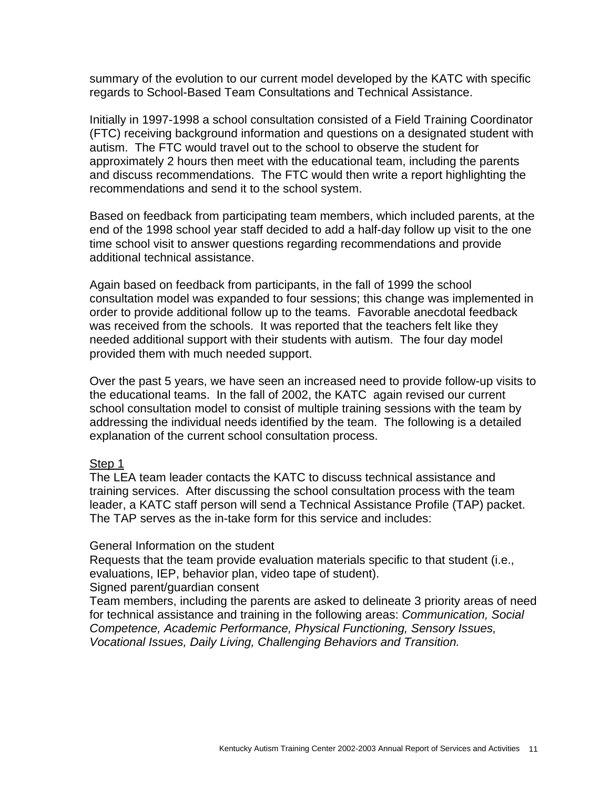summary of the evolution to our current model developed by the KATC with specific regards to School-Based Team Consultations and Technical Assistance.

Initially in 1997-1998 a school consultation consisted of a Field Training Coordinator (FTC) receiving background information and questions on a designated student with autism. The FTC would travel out to the school to observe the student for approximately 2 hours then meet with the educational team, including the parents and discuss recommendations. The FTC would then write a report highlighting the recommendations and send it to the school system.

Based on feedback from participating team members, which included parents, at the end of the 1998 school year staff decided to add a half-day follow up visit to the one time school visit to answer questions regarding recommendations and provide additional technical assistance.

Again based on feedback from participants, in the fall of 1999 the school consultation model was expanded to four sessions; this change was implemented in order to provide additional follow up to the teams. Favorable anecdotal feedback was received from the schools. It was reported that the teachers felt like they needed additional support with their students with autism. The four day model provided them with much needed support.

Over the past 5 years, we have seen an increased need to provide follow-up visits to the educational teams. In the fall of 2002, the KATC again revised our current school consultation model to consist of multiple training sessions with the team by addressing the individual needs identified by the team. The following is a detailed explanation of the current school consultation process.

#### Step 1

The LEA team leader contacts the KATC to discuss technical assistance and training services. After discussing the school consultation process with the team leader, a KATC staff person will send a Technical Assistance Profile (TAP) packet. The TAP serves as the in-take form for this service and includes:

#### General Information on the student

Requests that the team provide evaluation materials specific to that student (i.e., evaluations, IEP, behavior plan, video tape of student).

Signed parent/guardian consent

Team members, including the parents are asked to delineate 3 priority areas of need for technical assistance and training in the following areas: *Communication, Social Competence, Academic Performance, Physical Functioning, Sensory Issues, Vocational Issues, Daily Living, Challenging Behaviors and Transition.*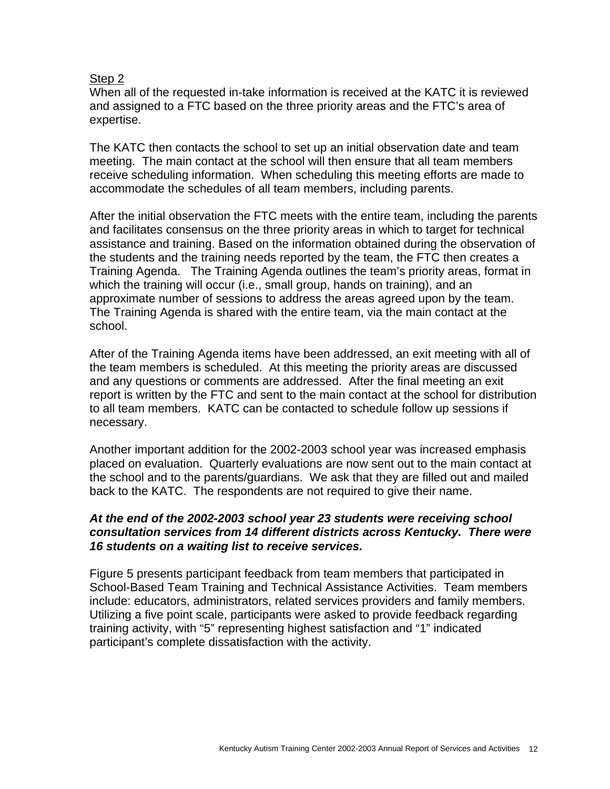### Step 2

When all of the requested in-take information is received at the KATC it is reviewed and assigned to a FTC based on the three priority areas and the FTC's area of expertise.

The KATC then contacts the school to set up an initial observation date and team meeting. The main contact at the school will then ensure that all team members receive scheduling information. When scheduling this meeting efforts are made to accommodate the schedules of all team members, including parents.

After the initial observation the FTC meets with the entire team, including the parents and facilitates consensus on the three priority areas in which to target for technical assistance and training. Based on the information obtained during the observation of the students and the training needs reported by the team, the FTC then creates a Training Agenda. The Training Agenda outlines the team's priority areas, format in which the training will occur (i.e., small group, hands on training), and an approximate number of sessions to address the areas agreed upon by the team. The Training Agenda is shared with the entire team, via the main contact at the school.

After of the Training Agenda items have been addressed, an exit meeting with all of the team members is scheduled. At this meeting the priority areas are discussed and any questions or comments are addressed. After the final meeting an exit report is written by the FTC and sent to the main contact at the school for distribution to all team members. KATC can be contacted to schedule follow up sessions if necessary.

Another important addition for the 2002-2003 school year was increased emphasis placed on evaluation. Quarterly evaluations are now sent out to the main contact at the school and to the parents/guardians. We ask that they are filled out and mailed back to the KATC. The respondents are not required to give their name.

### *At the end of the 2002-2003 school year 23 students were receiving school consultation services from 14 different districts across Kentucky. There were 16 students on a waiting list to receive services.*

Figure 5 presents participant feedback from team members that participated in School-Based Team Training and Technical Assistance Activities. Team members include: educators, administrators, related services providers and family members. Utilizing a five point scale, participants were asked to provide feedback regarding training activity, with "5" representing highest satisfaction and "1" indicated participant's complete dissatisfaction with the activity.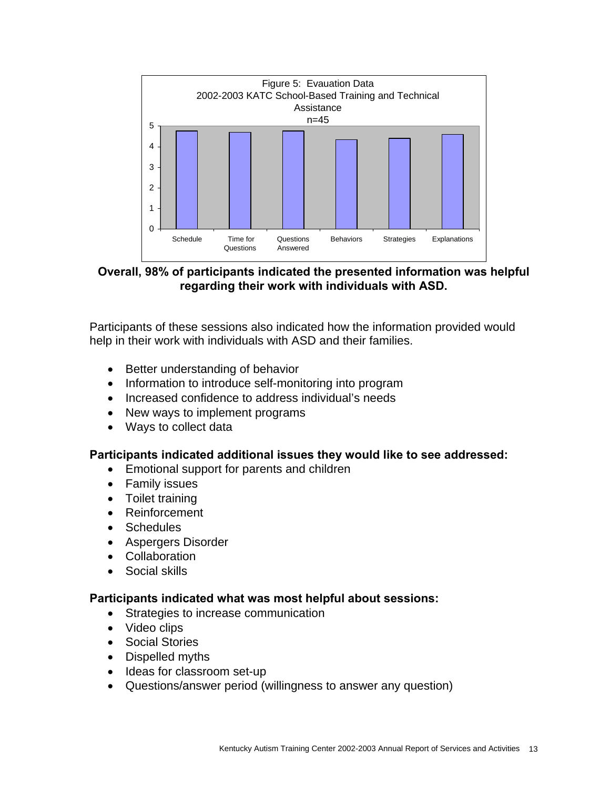

**Overall, 98% of participants indicated the presented information was helpful regarding their work with individuals with ASD.**

Participants of these sessions also indicated how the information provided would help in their work with individuals with ASD and their families.

- Better understanding of behavior
- Information to introduce self-monitoring into program
- Increased confidence to address individual's needs
- New ways to implement programs
- Ways to collect data

#### **Participants indicated additional issues they would like to see addressed:**

- Emotional support for parents and children
- Family issues
- Toilet training
- Reinforcement
- Schedules
- Aspergers Disorder
- Collaboration
- Social skills

#### **Participants indicated what was most helpful about sessions:**

- Strategies to increase communication
- Video clips
- Social Stories
- Dispelled myths
- Ideas for classroom set-up
- Questions/answer period (willingness to answer any question)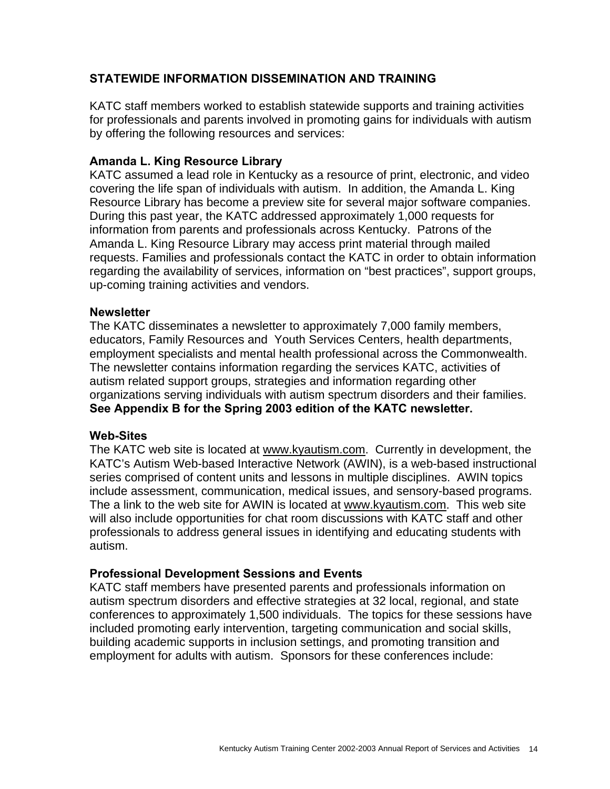## **STATEWIDE INFORMATION DISSEMINATION AND TRAINING**

KATC staff members worked to establish statewide supports and training activities for professionals and parents involved in promoting gains for individuals with autism by offering the following resources and services:

### **Amanda L. King Resource Library**

KATC assumed a lead role in Kentucky as a resource of print, electronic, and video covering the life span of individuals with autism. In addition, the Amanda L. King Resource Library has become a preview site for several major software companies. During this past year, the KATC addressed approximately 1,000 requests for information from parents and professionals across Kentucky. Patrons of the Amanda L. King Resource Library may access print material through mailed requests. Families and professionals contact the KATC in order to obtain information regarding the availability of services, information on "best practices", support groups, up-coming training activities and vendors.

#### **Newsletter**

The KATC disseminates a newsletter to approximately 7,000 family members, educators, Family Resources and Youth Services Centers, health departments, employment specialists and mental health professional across the Commonwealth. The newsletter contains information regarding the services KATC, activities of autism related support groups, strategies and information regarding other organizations serving individuals with autism spectrum disorders and their families. **See Appendix B for the Spring 2003 edition of the KATC newsletter.** 

#### **Web-Sites**

The KATC web site is located at [www.kyautism.com.](http://www.kyautism.com/) Currently in development, the KATC's Autism Web-based Interactive Network (AWIN), is a web-based instructional series comprised of content units and lessons in multiple disciplines. AWIN topics include assessment, communication, medical issues, and sensory-based programs. The a link to the web site for AWIN is located at [www.kyautism.com](http://www.kyautism.com/). This web site will also include opportunities for chat room discussions with KATC staff and other professionals to address general issues in identifying and educating students with autism.

#### **Professional Development Sessions and Events**

KATC staff members have presented parents and professionals information on autism spectrum disorders and effective strategies at 32 local, regional, and state conferences to approximately 1,500 individuals. The topics for these sessions have included promoting early intervention, targeting communication and social skills, building academic supports in inclusion settings, and promoting transition and employment for adults with autism. Sponsors for these conferences include: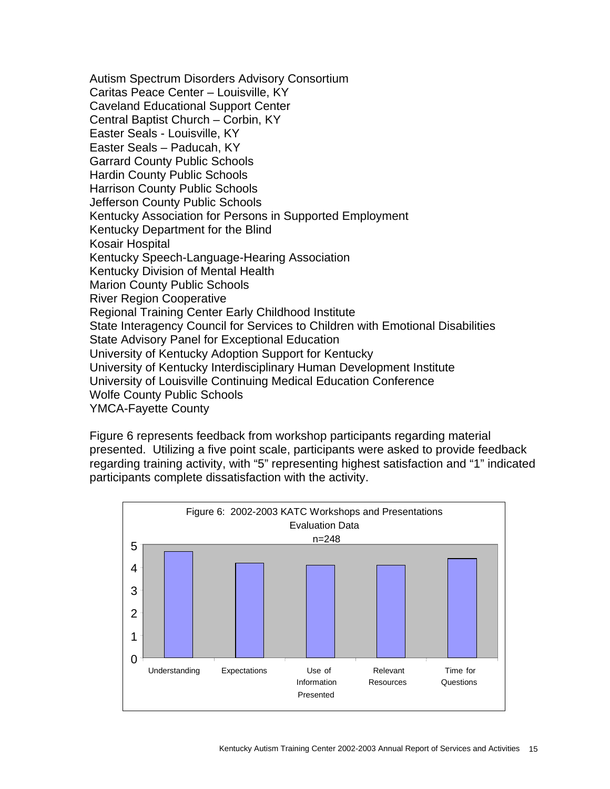Autism Spectrum Disorders Advisory Consortium Caritas Peace Center – Louisville, KY Caveland Educational Support Center Central Baptist Church – Corbin, KY Easter Seals - Louisville, KY Easter Seals – Paducah, KY Garrard County Public Schools Hardin County Public Schools Harrison County Public Schools Jefferson County Public Schools Kentucky Association for Persons in Supported Employment Kentucky Department for the Blind Kosair Hospital Kentucky Speech-Language-Hearing Association Kentucky Division of Mental Health Marion County Public Schools River Region Cooperative Regional Training Center Early Childhood Institute State Interagency Council for Services to Children with Emotional Disabilities State Advisory Panel for Exceptional Education University of Kentucky Adoption Support for Kentucky University of Kentucky Interdisciplinary Human Development Institute University of Louisville Continuing Medical Education Conference Wolfe County Public Schools YMCA-Fayette County

Figure 6 represents feedback from workshop participants regarding material presented. Utilizing a five point scale, participants were asked to provide feedback regarding training activity, with "5" representing highest satisfaction and "1" indicated participants complete dissatisfaction with the activity.

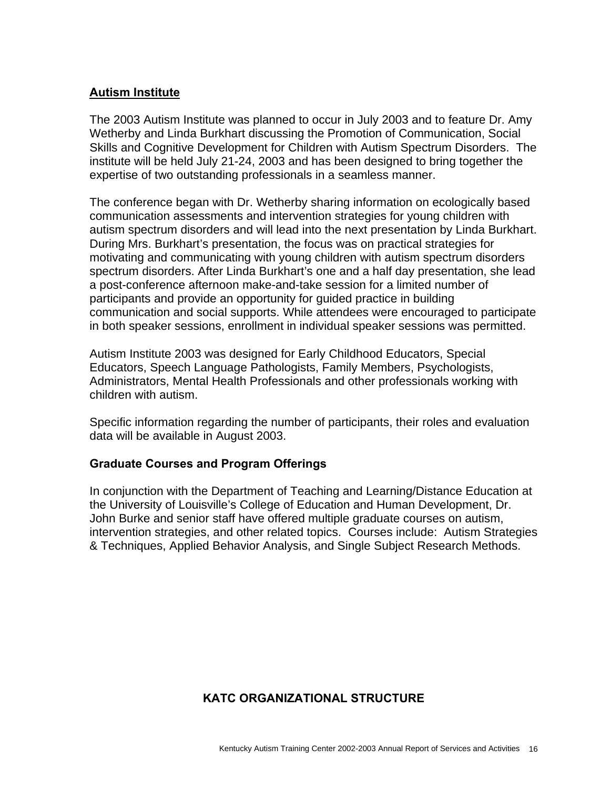## **Autism Institute**

The 2003 Autism Institute was planned to occur in July 2003 and to feature Dr. Amy Wetherby and Linda Burkhart discussing the Promotion of Communication, Social Skills and Cognitive Development for Children with Autism Spectrum Disorders. The institute will be held July 21-24, 2003 and has been designed to bring together the expertise of two outstanding professionals in a seamless manner.

The conference began with Dr. Wetherby sharing information on ecologically based communication assessments and intervention strategies for young children with autism spectrum disorders and will lead into the next presentation by Linda Burkhart. During Mrs. Burkhart's presentation, the focus was on practical strategies for motivating and communicating with young children with autism spectrum disorders spectrum disorders. After Linda Burkhart's one and a half day presentation, she lead a post-conference afternoon make-and-take session for a limited number of participants and provide an opportunity for guided practice in building communication and social supports. While attendees were encouraged to participate in both speaker sessions, enrollment in individual speaker sessions was permitted.

Autism Institute 2003 was designed for Early Childhood Educators, Special Educators, Speech Language Pathologists, Family Members, Psychologists, Administrators, Mental Health Professionals and other professionals working with children with autism.

Specific information regarding the number of participants, their roles and evaluation data will be available in August 2003.

#### **Graduate Courses and Program Offerings**

In conjunction with the Department of Teaching and Learning/Distance Education at the University of Louisville's College of Education and Human Development, Dr. John Burke and senior staff have offered multiple graduate courses on autism, intervention strategies, and other related topics. Courses include: Autism Strategies & Techniques, Applied Behavior Analysis, and Single Subject Research Methods.

## **KATC ORGANIZATIONAL STRUCTURE**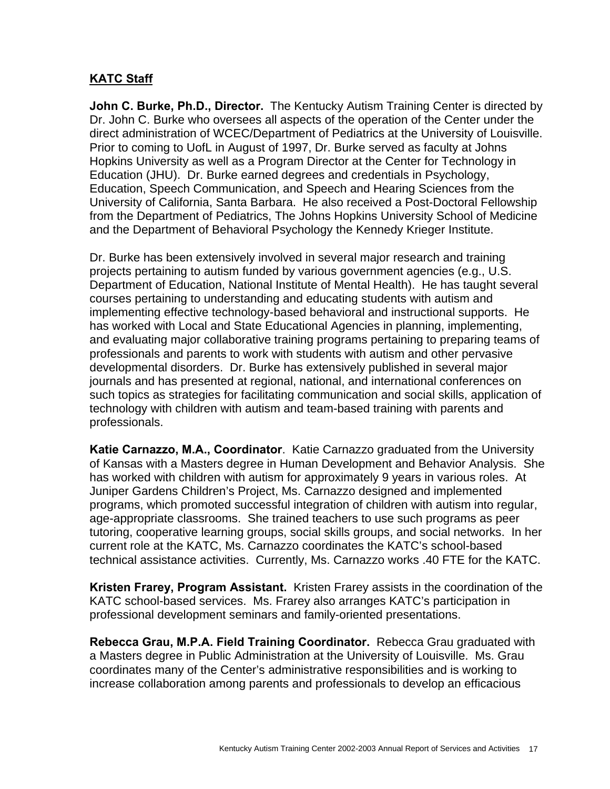## **KATC Staff**

**John C. Burke, Ph.D., Director.** The Kentucky Autism Training Center is directed by Dr. John C. Burke who oversees all aspects of the operation of the Center under the direct administration of WCEC/Department of Pediatrics at the University of Louisville. Prior to coming to UofL in August of 1997, Dr. Burke served as faculty at Johns Hopkins University as well as a Program Director at the Center for Technology in Education (JHU). Dr. Burke earned degrees and credentials in Psychology, Education, Speech Communication, and Speech and Hearing Sciences from the University of California, Santa Barbara. He also received a Post-Doctoral Fellowship from the Department of Pediatrics, The Johns Hopkins University School of Medicine and the Department of Behavioral Psychology the Kennedy Krieger Institute.

Dr. Burke has been extensively involved in several major research and training projects pertaining to autism funded by various government agencies (e.g., U.S. Department of Education, National Institute of Mental Health). He has taught several courses pertaining to understanding and educating students with autism and implementing effective technology-based behavioral and instructional supports. He has worked with Local and State Educational Agencies in planning, implementing, and evaluating major collaborative training programs pertaining to preparing teams of professionals and parents to work with students with autism and other pervasive developmental disorders. Dr. Burke has extensively published in several major journals and has presented at regional, national, and international conferences on such topics as strategies for facilitating communication and social skills, application of technology with children with autism and team-based training with parents and professionals.

**Katie Carnazzo, M.A., Coordinator**. Katie Carnazzo graduated from the University of Kansas with a Masters degree in Human Development and Behavior Analysis. She has worked with children with autism for approximately 9 years in various roles. At Juniper Gardens Children's Project, Ms. Carnazzo designed and implemented programs, which promoted successful integration of children with autism into regular, age-appropriate classrooms. She trained teachers to use such programs as peer tutoring, cooperative learning groups, social skills groups, and social networks. In her current role at the KATC, Ms. Carnazzo coordinates the KATC's school-based technical assistance activities. Currently, Ms. Carnazzo works .40 FTE for the KATC.

**Kristen Frarey, Program Assistant.** Kristen Frarey assists in the coordination of the KATC school-based services. Ms. Frarey also arranges KATC's participation in professional development seminars and family-oriented presentations.

**Rebecca Grau, M.P.A. Field Training Coordinator.** Rebecca Grau graduated with a Masters degree in Public Administration at the University of Louisville. Ms. Grau coordinates many of the Center's administrative responsibilities and is working to increase collaboration among parents and professionals to develop an efficacious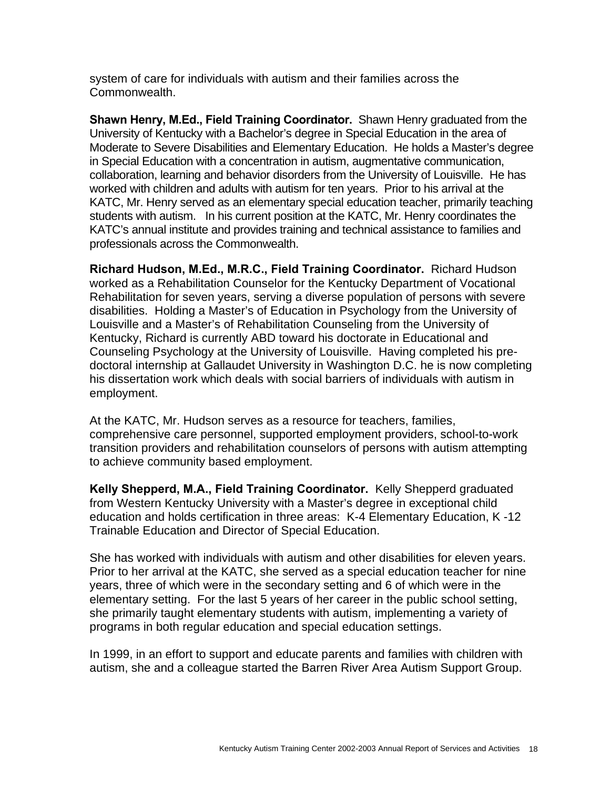system of care for individuals with autism and their families across the Commonwealth.

**Shawn Henry, M.Ed., Field Training Coordinator.** Shawn Henry graduated from the University of Kentucky with a Bachelor's degree in Special Education in the area of Moderate to Severe Disabilities and Elementary Education. He holds a Master's degree in Special Education with a concentration in autism, augmentative communication, collaboration, learning and behavior disorders from the University of Louisville. He has worked with children and adults with autism for ten years. Prior to his arrival at the KATC, Mr. Henry served as an elementary special education teacher, primarily teaching students with autism. In his current position at the KATC, Mr. Henry coordinates the KATC's annual institute and provides training and technical assistance to families and professionals across the Commonwealth.

**Richard Hudson, M.Ed., M.R.C., Field Training Coordinator.** Richard Hudson worked as a Rehabilitation Counselor for the Kentucky Department of Vocational Rehabilitation for seven years, serving a diverse population of persons with severe disabilities. Holding a Master's of Education in Psychology from the University of Louisville and a Master's of Rehabilitation Counseling from the University of Kentucky, Richard is currently ABD toward his doctorate in Educational and Counseling Psychology at the University of Louisville. Having completed his predoctoral internship at Gallaudet University in Washington D.C. he is now completing his dissertation work which deals with social barriers of individuals with autism in employment.

At the KATC, Mr. Hudson serves as a resource for teachers, families, comprehensive care personnel, supported employment providers, school-to-work transition providers and rehabilitation counselors of persons with autism attempting to achieve community based employment.

**Kelly Shepperd, M.A., Field Training Coordinator.** Kelly Shepperd graduated from Western Kentucky University with a Master's degree in exceptional child education and holds certification in three areas: K-4 Elementary Education, K -12 Trainable Education and Director of Special Education.

She has worked with individuals with autism and other disabilities for eleven years. Prior to her arrival at the KATC, she served as a special education teacher for nine years, three of which were in the secondary setting and 6 of which were in the elementary setting. For the last 5 years of her career in the public school setting, she primarily taught elementary students with autism, implementing a variety of programs in both regular education and special education settings.

In 1999, in an effort to support and educate parents and families with children with autism, she and a colleague started the Barren River Area Autism Support Group.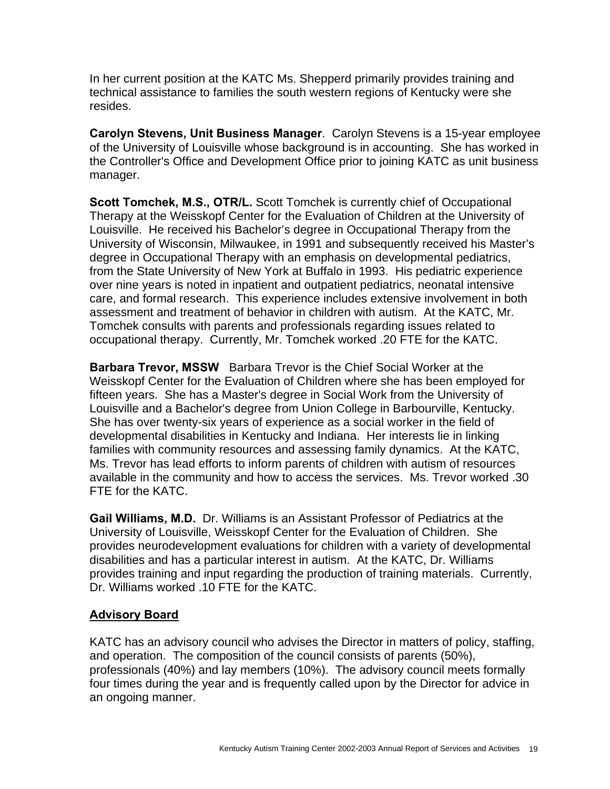In her current position at the KATC Ms. Shepperd primarily provides training and technical assistance to families the south western regions of Kentucky were she resides.

**Carolyn Stevens, Unit Business Manager**. Carolyn Stevens is a 15-year employee of the University of Louisville whose background is in accounting. She has worked in the Controller's Office and Development Office prior to joining KATC as unit business manager.

**Scott Tomchek, M.S., OTR/L.** Scott Tomchek is currently chief of Occupational Therapy at the Weisskopf Center for the Evaluation of Children at the University of Louisville. He received his Bachelor's degree in Occupational Therapy from the University of Wisconsin, Milwaukee, in 1991 and subsequently received his Master's degree in Occupational Therapy with an emphasis on developmental pediatrics, from the State University of New York at Buffalo in 1993. His pediatric experience over nine years is noted in inpatient and outpatient pediatrics, neonatal intensive care, and formal research. This experience includes extensive involvement in both assessment and treatment of behavior in children with autism. At the KATC, Mr. Tomchek consults with parents and professionals regarding issues related to occupational therapy. Currently, Mr. Tomchek worked .20 FTE for the KATC.

**Barbara Trevor, MSSW** Barbara Trevor is the Chief Social Worker at the Weisskopf Center for the Evaluation of Children where she has been employed for fifteen years. She has a Master's degree in Social Work from the University of Louisville and a Bachelor's degree from Union College in Barbourville, Kentucky. She has over twenty-six years of experience as a social worker in the field of developmental disabilities in Kentucky and Indiana. Her interests lie in linking families with community resources and assessing family dynamics. At the KATC, Ms. Trevor has lead efforts to inform parents of children with autism of resources available in the community and how to access the services. Ms. Trevor worked .30 FTE for the KATC.

**Gail Williams, M.D.** Dr. Williams is an Assistant Professor of Pediatrics at the University of Louisville, Weisskopf Center for the Evaluation of Children. She provides neurodevelopment evaluations for children with a variety of developmental disabilities and has a particular interest in autism. At the KATC, Dr. Williams provides training and input regarding the production of training materials. Currently, Dr. Williams worked .10 FTE for the KATC.

## **Advisory Board**

KATC has an advisory council who advises the Director in matters of policy, staffing, and operation. The composition of the council consists of parents (50%), professionals (40%) and lay members (10%). The advisory council meets formally four times during the year and is frequently called upon by the Director for advice in an ongoing manner.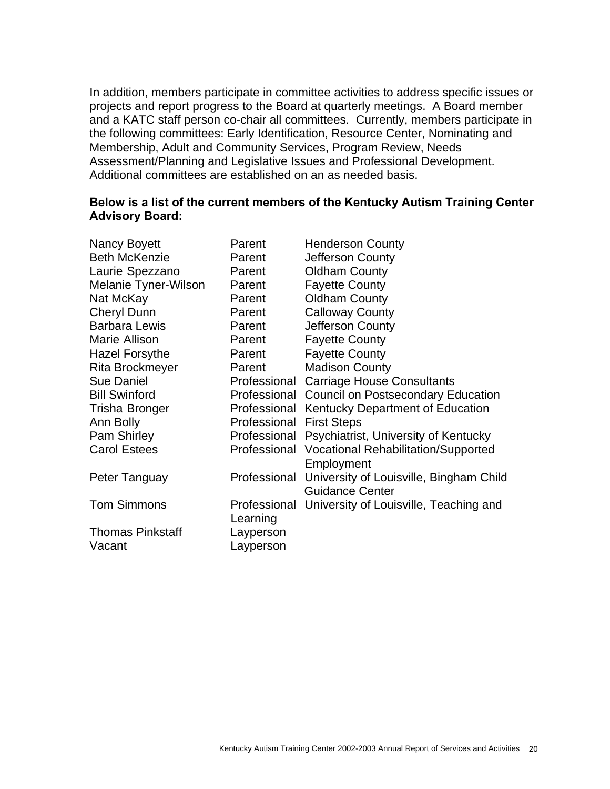In addition, members participate in committee activities to address specific issues or projects and report progress to the Board at quarterly meetings. A Board member and a KATC staff person co-chair all committees. Currently, members participate in the following committees: Early Identification, Resource Center, Nominating and Membership, Adult and Community Services, Program Review, Needs Assessment/Planning and Legislative Issues and Professional Development. Additional committees are established on an as needed basis.

### **Below is a list of the current members of the Kentucky Autism Training Center Advisory Board:**

| Parent       | <b>Henderson County</b>                                           |
|--------------|-------------------------------------------------------------------|
| Parent       | Jefferson County                                                  |
| Parent       | <b>Oldham County</b>                                              |
| Parent       | <b>Fayette County</b>                                             |
| Parent       | <b>Oldham County</b>                                              |
| Parent       | <b>Calloway County</b>                                            |
| Parent       | Jefferson County                                                  |
| Parent       | <b>Fayette County</b>                                             |
| Parent       | <b>Fayette County</b>                                             |
| Parent       | <b>Madison County</b>                                             |
| Professional | <b>Carriage House Consultants</b>                                 |
| Professional | <b>Council on Postsecondary Education</b>                         |
|              | Professional Kentucky Department of Education                     |
| Professional | <b>First Steps</b>                                                |
|              | Professional Psychiatrist, University of Kentucky                 |
|              | Professional Vocational Rehabilitation/Supported<br>Employment    |
| Professional | University of Louisville, Bingham Child<br><b>Guidance Center</b> |
|              | Professional University of Louisville, Teaching and               |
|              |                                                                   |
| Layperson    |                                                                   |
|              | Learning<br>Layperson                                             |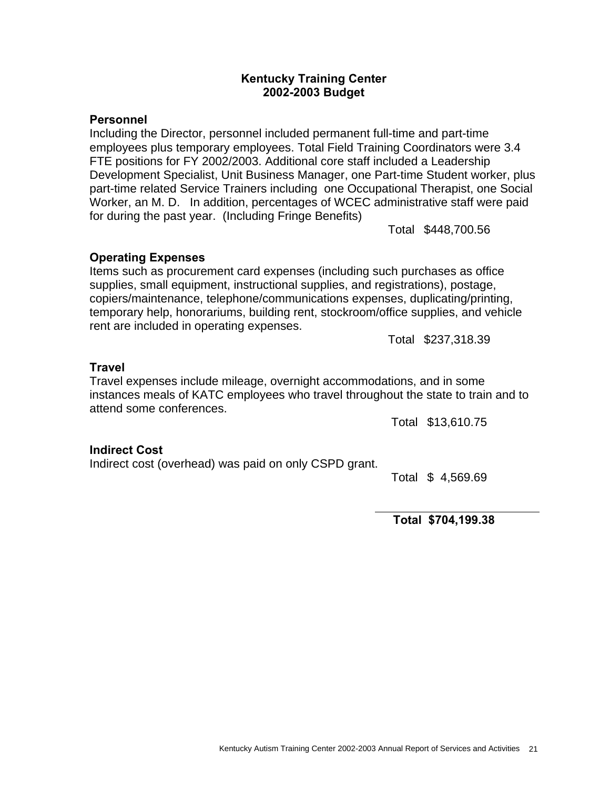#### **Kentucky Training Center 2002-2003 Budget**

### **Personnel**

Including the Director, personnel included permanent full-time and part-time employees plus temporary employees. Total Field Training Coordinators were 3.4 FTE positions for FY 2002/2003. Additional core staff included a Leadership Development Specialist, Unit Business Manager, one Part-time Student worker, plus part-time related Service Trainers including one Occupational Therapist, one Social Worker, an M. D. In addition, percentages of WCEC administrative staff were paid for during the past year. (Including Fringe Benefits)

Total \$448,700.56

## **Operating Expenses**

Items such as procurement card expenses (including such purchases as office supplies, small equipment, instructional supplies, and registrations), postage, copiers/maintenance, telephone/communications expenses, duplicating/printing, temporary help, honorariums, building rent, stockroom/office supplies, and vehicle rent are included in operating expenses.

Total \$237,318.39

### **Travel**

Travel expenses include mileage, overnight accommodations, and in some instances meals of KATC employees who travel throughout the state to train and to attend some conferences.

Total \$13,610.75

#### **Indirect Cost**

Indirect cost (overhead) was paid on only CSPD grant.

Total \$ 4,569.69

 **Total \$704,199.38**